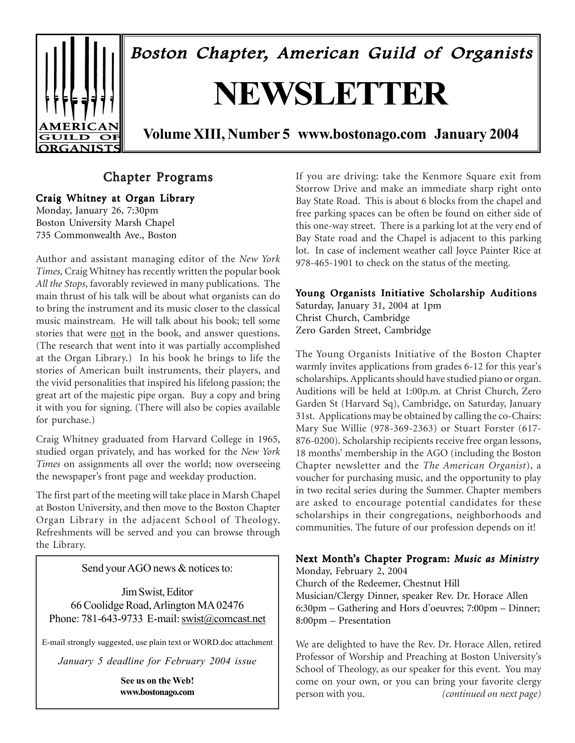

# Chapter Programs

Craig Whitney at Organ Library

Monday, January 26, 7:30pm Boston University Marsh Chapel 735 Commonwealth Ave., Boston

Author and assistant managing editor of the *New York Times,* Craig Whitney has recently written the popular book *All the Stops*, favorably reviewed in many publications. The main thrust of his talk will be about what organists can do to bring the instrument and its music closer to the classical music mainstream. He will talk about his book; tell some stories that were not in the book, and answer questions. (The research that went into it was partially accomplished at the Organ Library.) In his book he brings to life the stories of American built instruments, their players, and the vivid personalities that inspired his lifelong passion; the great art of the majestic pipe organ. Buy a copy and bring it with you for signing. (There will also be copies available for purchase.)

Craig Whitney graduated from Harvard College in 1965, studied organ privately, and has worked for the *New York Times* on assignments all over the world; now overseeing the newspaper's front page and weekday production.

The first part of the meeting will take place in Marsh Chapel at Boston University, and then move to the Boston Chapter Organ Library in the adjacent School of Theology. Refreshments will be served and you can browse through the Library.

Send your AGO news & notices to:

Jim Swist, Editor 66 Coolidge Road, Arlington MA 02476 Phone: 781-643-9733 E-mail: swist@comcast.net

E-mail strongly suggested, use plain text or WORD.doc attachment

*January 5 deadline for February 2004 issue*

**See us on the Web! www.bostonago.com** If you are driving: take the Kenmore Square exit from Storrow Drive and make an immediate sharp right onto Bay State Road. This is about 6 blocks from the chapel and free parking spaces can be often be found on either side of this one-way street. There is a parking lot at the very end of Bay State road and the Chapel is adjacent to this parking lot. In case of inclement weather call Joyce Painter Rice at 978-465-1901 to check on the status of the meeting.

# Young Organists Initiative Scholarship Auditions

Saturday, January 31, 2004 at 1pm Christ Church, Cambridge Zero Garden Street, Cambridge

The Young Organists Initiative of the Boston Chapter warmly invites applications from grades 6-12 for this year's scholarships. Applicants should have studied piano or organ. Auditions will be held at 1:00p.m. at Christ Church, Zero Garden St (Harvard Sq), Cambridge, on Saturday, January 31st. Applications may be obtained by calling the co-Chairs: Mary Sue Willie (978-369-2363) or Stuart Forster (617- 876-0200). Scholarship recipients receive free organ lessons, 18 months' membership in the AGO (including the Boston Chapter newsletter and the *The American Organist*), a voucher for purchasing music, and the opportunity to play in two recital series during the Summer. Chapter members are asked to encourage potential candidates for these scholarships in their congregations, neighborhoods and communities. The future of our profession depends on it!

# Next Month's Chapter Program: *Music as Ministry*

Monday, February 2, 2004 Church of the Redeemer, Chestnut Hill Musician/Clergy Dinner, speaker Rev. Dr. Horace Allen 6:30pm – Gathering and Hors d'oeuvres; 7:00pm – Dinner; 8:00pm – Presentation

We are delighted to have the Rev. Dr. Horace Allen, retired Professor of Worship and Preaching at Boston University's School of Theology, as our speaker for this event. You may come on your own, or you can bring your favorite clergy person with you. *(continued on next page)*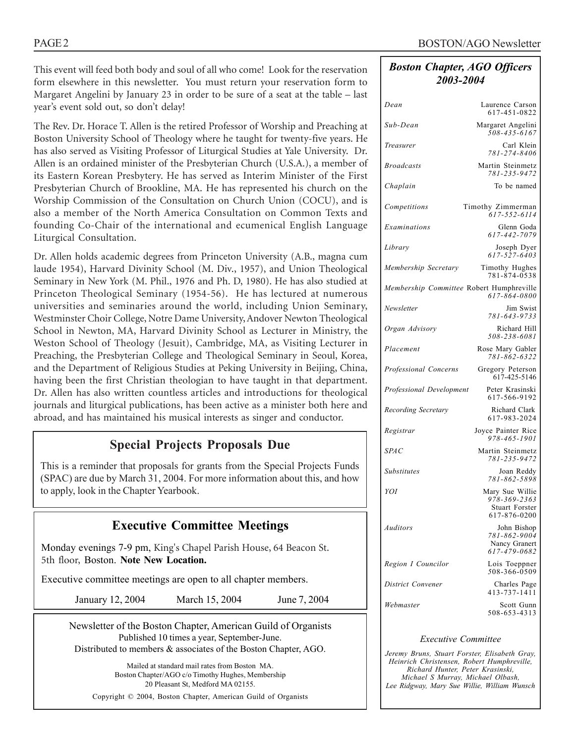This event will feed both body and soul of all who come! Look for the reservation form elsewhere in this newsletter. You must return your reservation form to Margaret Angelini by January 23 in order to be sure of a seat at the table – last year's event sold out, so don't delay!

The Rev. Dr. Horace T. Allen is the retired Professor of Worship and Preaching at Boston University School of Theology where he taught for twenty-five years. He has also served as Visiting Professor of Liturgical Studies at Yale University. Dr. Allen is an ordained minister of the Presbyterian Church (U.S.A.), a member of its Eastern Korean Presbytery. He has served as Interim Minister of the First Presbyterian Church of Brookline, MA. He has represented his church on the Worship Commission of the Consultation on Church Union (COCU), and is also a member of the North America Consultation on Common Texts and founding Co-Chair of the international and ecumenical English Language Liturgical Consultation.

Dr. Allen holds academic degrees from Princeton University (A.B., magna cum laude 1954), Harvard Divinity School (M. Div., 1957), and Union Theological Seminary in New York (M. Phil., 1976 and Ph. D, 1980). He has also studied at Princeton Theological Seminary (1954-56). He has lectured at numerous universities and seminaries around the world, including Union Seminary, Westminster Choir College, Notre Dame University, Andover Newton Theological School in Newton, MA, Harvard Divinity School as Lecturer in Ministry, the Weston School of Theology (Jesuit), Cambridge, MA, as Visiting Lecturer in Preaching, the Presbyterian College and Theological Seminary in Seoul, Korea, and the Department of Religious Studies at Peking University in Beijing, China, having been the first Christian theologian to have taught in that department. Dr. Allen has also written countless articles and introductions for theological journals and liturgical publications, has been active as a minister both here and abroad, and has maintained his musical interests as singer and conductor.

# **Special Projects Proposals Due**

This is a reminder that proposals for grants from the Special Projects Funds (SPAC) are due by March 31, 2004. For more information about this, and how to apply, look in the Chapter Yearbook.

# **Executive Committee Meetings**

Monday evenings 7-9 pm, King's Chapel Parish House, 64 Beacon St. 5th floor, Boston. **Note New Location.**

Executive committee meetings are open to all chapter members.

January 12, 2004 March 15, 2004 June 7, 2004

Newsletter of the Boston Chapter, American Guild of Organists Published 10 times a year, September-June. Distributed to members & associates of the Boston Chapter, AGO.

Mailed at standard mail rates from Boston MA. Boston Chapter/AGO c/o Timothy Hughes, Membership 20 Pleasant St, Medford MA 02155. Copyright © 2004, Boston Chapter, American Guild of Organists

# *Boston Chapter, AGO Officers 2003-2004*

| Dean                                     | Laurence Carson<br>617-451-0822                              |
|------------------------------------------|--------------------------------------------------------------|
| Sub-Dean                                 | Margaret Angelini<br>508-435-6167                            |
| Treasurer                                | Carl Klein<br>781-274-8406                                   |
| <b>Broadcasts</b>                        | Martin Steinmetz<br>781-235-9472                             |
| Chaplain                                 | To be named                                                  |
| Competitions                             | Timothy Zimmerman<br>$617 - 552 - 6114$                      |
| Examinations                             | Glenn Goda<br>617-442-7079                                   |
| Library                                  | Joseph Dyer<br>$617 - 527 - 6403$                            |
| Membership Secretary                     | Timothy Hughes<br>781-874-0538                               |
| Membership Committee Robert Humphreville | 617-864-0800                                                 |
| Newsletter                               | Jim Swist<br>781-643-9733                                    |
| Organ Advisory                           | Richard Hill<br>508-238-6081                                 |
| Placement                                | Rose Mary Gabler<br>781-862-6322                             |
| Professional Concerns                    | Gregory Peterson<br>617-425-5146                             |
| Professional Development                 | Peter Krasinski<br>617-566-9192                              |
| Recording Secretary                      | Richard Clark<br>617-983-2024                                |
| Registrar                                | Joyce Painter Rice<br>978-465-1901                           |
| <b>SPAC</b>                              | Martin Steinmetz<br>781-235-9472                             |
| <b>Substitutes</b>                       | Joan Reddy<br>781-862-5898                                   |
| YOI                                      | Mary Sue Willie<br>978-369-2363                              |
|                                          | <b>Stuart Forster</b><br>617-876-0200                        |
| Auditors                                 | John Bishop<br>781-862-9004<br>Nancy Granert<br>617-479-0682 |
| Region I Councilor                       | Lois Toeppner<br>508-366-0509                                |
| District Convener                        | Charles Page<br>413-737-1411                                 |
| Webmaster                                | Scott Gunn<br>508-653-4313                                   |

## *Executive Committee*

*Jeremy Bruns, Stuart Forster, Elisabeth Gray, Heinrich Christensen, Robert Humphreville, Richard Hunter, Peter Krasinski, Michael S Murray, Michael Olbash, Lee Ridgway, Mary Sue Willie, William Wunsch*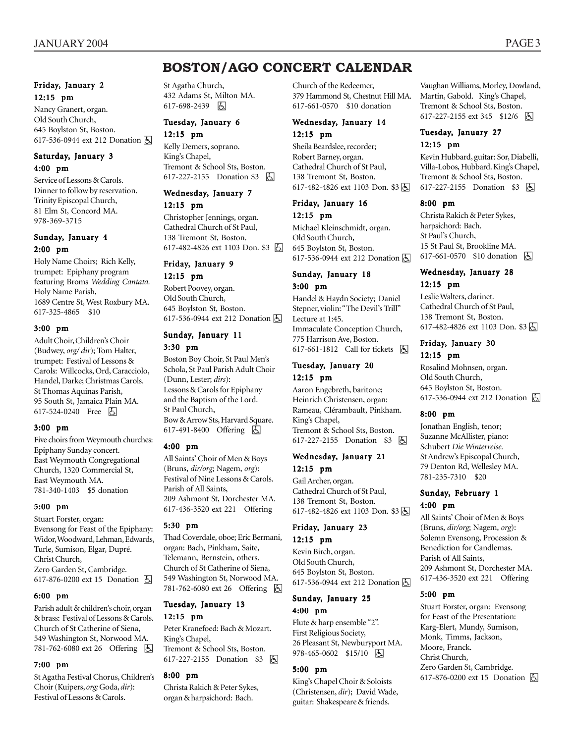# **BOSTON/AGO CONCERT CALENDAR**

# Friday, January 2 12:15 pm

Nancy Granert, organ. Old South Church, 645 Boylston St, Boston. 617-536-0944 ext 212 Donation  $\boxed{6}$ 

### Saturday, January 3 4:00 pm

Service of Lessons & Carols. Dinner to follow by reservation. Trinity Episcopal Church, 81 Elm St, Concord MA. 978-369-3715

# Sunday, January 4 2:00 pm

Holy Name Choirs; Rich Kelly, trumpet: Epiphany program featuring Broms *Wedding Cantata.* Holy Name Parish, 1689 Centre St, West Roxbury MA. 617-325-4865 \$10

#### 3:00 pm

Adult Choir, Children's Choir (Budwey, *org/ dir*); Tom Halter, trumpet: Festival of Lessons & Carols: Willcocks, Ord, Caracciolo, Handel, Darke; Christmas Carols. St Thomas Aquinas Parish, 95 South St, Jamaica Plain MA. 617-524-0240 Free 因

## 3:00 pm

Five choirs from Weymouth churches: Epiphany Sunday concert. East Weymouth Congregational Church, 1320 Commercial St, East Weymouth MA. 781-340-1403 \$5 donation

#### 5:00 pm

Stuart Forster, organ: Evensong for Feast of the Epiphany: Widor, Woodward, Lehman, Edwards, Turle, Sumison, Elgar, Dupré. Christ Church, Zero Garden St, Cambridge. 617-876-0200 ext 15 Donation **b** 

#### 6:00 pm

Parish adult & children's choir, organ & brass: Festival of Lessons & Carols. Church of St Catherine of Siena, 549 Washington St, Norwood MA. 781-762-6080 ext 26 Offering h

## 7:00 pm

St Agatha Festival Chorus, Children's Choir (Kuipers, *org;* Goda, *dir*): Festival of Lessons & Carols.

St Agatha Church, 432 Adams St, Milton MA. 617-698-2439 因

# Tuesday, January 6

12:15 pm Kelly Demers, soprano. King's Chapel, Tremont & School Sts, Boston. 617-227-2155 Donation \$3 | A

### Wednesday, January 7 12:15 pm

Christopher Jennings, organ. Cathedral Church of St Paul, 138 Tremont St, Boston. 617-482-4826 ext 1103 Don. \$3 h

# Friday, January 9

## 12:15 pm

Robert Poovey, organ. Old South Church, 645 Boylston St, Boston. 617-536-0944 ext 212 Donation  $\boxed{6}$ 

## Sunday, January 11

#### 3:30 pm

Boston Boy Choir, St Paul Men's Schola, St Paul Parish Adult Choir (Dunn, Lester; *dirs*): Lessons & Carols for Epiphany and the Baptism of the Lord. St Paul Church, Bow & Arrow Sts, Harvard Square. 617-491-8400 Offering **b** 

#### 4:00 pm

All Saints' Choir of Men & Boys (Bruns, *dir/org*; Nagem, *org*): Festival of Nine Lessons & Carols. Parish of All Saints, 209 Ashmont St, Dorchester MA. 617-436-3520 ext 221 Offering

#### 5:30 pm

Thad Coverdale, oboe; Eric Bermani, organ: Bach, Pinkham, Saite, Telemann, Bernstein, others. Church of St Catherine of Siena, 549 Washington St, Norwood MA. 781-762-6080 ext 26 Offering h

#### Tuesday, January 13 12:15 pm

Peter Kranefoed: Bach & Mozart. King's Chapel, Tremont & School Sts, Boston. 617-227-2155 Donation \$3 因

#### 8:00 pm

Christa Rakich & Peter Sykes, organ & harpsichord: Bach.

Church of the Redeemer, 379 Hammond St, Chestnut Hill MA. 617-661-0570 \$10 donation

# Wednesday, January 14 12:15 pm

Sheila Beardslee, recorder; Robert Barney, organ. Cathedral Church of St Paul, 138 Tremont St, Boston. 617-482-4826 ext 1103 Don. \$3 因

### Friday, January 16 12:15 pm

Michael Kleinschmidt, organ. Old South Church, 645 Boylston St, Boston. 617-536-0944 ext 212 Donation **b** 

#### Sunday, January 18 3:00 pm

Handel & Haydn Society; Daniel Stepner, violin: "The Devil's Trill" Lecture at 1:45. Immaculate Conception Church, 775 Harrison Ave, Boston. 617-661-1812 Call for tickets  $\boxed{6}$ 

### Tuesday, January 20 12:15 pm

Aaron Engebreth, baritone; Heinrich Christensen, organ: Rameau, Clérambault, Pinkham. King's Chapel, Tremont & School Sts, Boston. 617-227-2155 Donation \$3 h

### Wednesday, January 21 12:15 pm

Gail Archer, organ. Cathedral Church of St Paul, 138 Tremont St, Boston. 617-482-4826 ext 1103 Don. \$3

#### Friday, January 23 12:15 pm

Kevin Birch, organ. Old South Church, 645 Boylston St, Boston. 617-536-0944 ext 212 Donation  $\boxed{6}$ 

# Sunday, January 25 4:00 pm

Flute & harp ensemble "2". First Religious Society, 26 Pleasant St, Newburyport MA. 978-465-0602 \$15/10 | 因

## 5:00 pm

King's Chapel Choir & Soloists (Christensen, *dir*); David Wade, guitar: Shakespeare & friends.

Vaughan Williams, Morley, Dowland, Martin, Gabold. King's Chapel, Tremont & School Sts, Boston. 617-227-2155 ext 345 \$12/6 因

## Tuesday, January 27 12:15 pm

Kevin Hubbard, guitar: Sor, Diabelli, Villa-Lobos, Hubbard. King's Chapel, Tremont & School Sts, Boston. 617-227-2155 Donation \$3 因

#### 8:00 pm

Christa Rakich & Peter Sykes, harpsichord: Bach. St Paul's Church, 15 St Paul St, Brookline MA. 617-661-0570 \$10 donation **b** 

### Wednesday, January 28 12:15 pm

Leslie Walters, clarinet. Cathedral Church of St Paul, 138 Tremont St, Boston. 617-482-4826 ext 1103 Don. \$3  $\boxed{5}$ 

## Friday, January 30 12:15 pm

Rosalind Mohnsen, organ. Old South Church, 645 Boylston St, Boston. 617-536-0944 ext 212 Donation **b** 

#### 8:00 pm

Jonathan English, tenor; Suzanne McAllister, piano: Schubert *Die Winterreise.* St Andrew's Episcopal Church, 79 Denton Rd, Wellesley MA. 781-235-7310 \$20

#### Sunday, February 1 4:00 pm

All Saints' Choir of Men & Boys (Bruns, *dir/org*; Nagem, *org*): Solemn Evensong, Procession & Benediction for Candlemas. Parish of All Saints, 209 Ashmont St, Dorchester MA. 617-436-3520 ext 221 Offering

## 5:00 pm

Stuart Forster, organ: Evensong for Feast of the Presentation: Karg-Elert, Mundy, Sumison, Monk, Timms, Jackson, Moore, Franck. Christ Church, Zero Garden St, Cambridge. 617-876-0200 ext 15 Donation **b**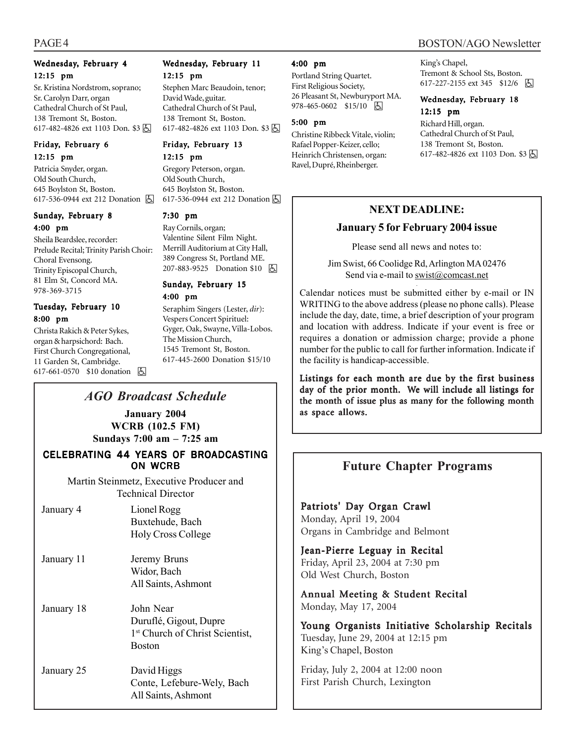# Wednesday, February 4 12:15 pm

Sr. Kristina Nordstrom, soprano; Sr. Carolyn Darr, organ Cathedral Church of St Paul, 138 Tremont St, Boston. 617-482-4826 ext 1103 Don. \$3 因

## Friday, February 6 12:15 pm

Patricia Snyder, organ. Old South Church, 645 Boylston St, Boston. 617-536-0944 ext 212 Donation **b** 

## Sunday, February 8 4:00 pm

Sheila Beardslee, recorder: Prelude Recital; Trinity Parish Choir: Choral Evensong. Trinity Episcopal Church, 81 Elm St, Concord MA. 978-369-3715

## Tuesday, February 10 8:00 pm

Christa Rakich & Peter Sykes, organ & harpsichord: Bach. First Church Congregational, 11 Garden St, Cambridge. 617-661-0570 \$10 donation **囚** 

# Wednesday, February 11 12:15 pm

Stephen Marc Beaudoin, tenor; David Wade, guitar. Cathedral Church of St Paul, 138 Tremont St, Boston. 617-482-4826 ext 1103 Don. \$3 因

## Friday, February 13 12:15 pm

Gregory Peterson, organ. Old South Church, 645 Boylston St, Boston. 617-536-0944 ext 212 Donation  $\boxed{6}$ 

# 7:30 pm

Ray Cornils, organ; Valentine Silent Film Night. Merrill Auditorium at City Hall, 389 Congress St, Portland ME. 207-883-9525 Donation \$10 | A

## Sunday, February 15 4:00 pm

Seraphim Singers (Lester, *dir*): Vespers Concert Spirituel: Gyger, Oak, Swayne, Villa-Lobos. The Mission Church, 1545 Tremont St, Boston. 617-445-2600 Donation \$15/10

# *AGO Broadcast Schedule*

**January 2004 WCRB (102.5 FM)**

**Sundays 7:00 am – 7:25 am**

# CELEBRATING 44 YEARS OF BROADCASTING ON WCRB

Martin Steinmetz, Executive Producer and Technical Director

| January 4  | Lionel Rogg<br>Buxtehude, Bach<br><b>Holy Cross College</b>                                         |
|------------|-----------------------------------------------------------------------------------------------------|
| January 11 | Jeremy Bruns<br>Widor, Bach<br>All Saints, Ashmont                                                  |
| January 18 | John Near<br>Duruflé, Gigout, Dupre<br>1 <sup>st</sup> Church of Christ Scientist,<br><b>Boston</b> |
| January 25 | David Higgs<br>Conte, Lefebure-Wely, Bach<br>All Saints, Ashmont                                    |

## 4:00 pm

Portland String Quartet. First Religious Society, 26 Pleasant St, Newburyport MA. 978-465-0602 \$15/10 | 因

## 5:00 pm

Christine Ribbeck Vitale, violin; Rafael Popper-Keizer, cello; Heinrich Christensen, organ: Ravel, Dupré, Rheinberger.

#### King's Chapel, Tremont & School Sts, Boston. 617-227-2155 ext 345 \$12/6 h

## Wednesday, February 18 12:15 pm

Richard Hill, organ. Cathedral Church of St Paul, 138 Tremont St, Boston. 617-482-4826 ext 1103 Don. \$3 因

# **NEXT DEADLINE:**

# **January 5 for February 2004 issue**

Please send all news and notes to:

Jim Swist, 66 Coolidge Rd, Arlington MA 02476 Send via e-mail to swist@comcast.net

Calendar notices must be submitted either by e-mail or IN WRITING to the above address (please no phone calls). Please include the day, date, time, a brief description of your program and location with address. Indicate if your event is free or requires a donation or admission charge; provide a phone number for the public to call for further information. Indicate if the facility is handicap-accessible.

Listings for each month are due by the first business day of the prior month. We will include all listings for the month of issue plus as many for the following month as space allows.

# **Future Chapter Programs**

Patriots' Day Organ Crawl Monday, April 19, 2004 Organs in Cambridge and Belmont

Jean-Pierre Leguay in Recital Friday, April 23, 2004 at 7:30 pm Old West Church, Boston

Annual Meeting & Student Recital Monday, May 17, 2004

Young Organists Initiative Scholarship Recitals Tuesday, June 29, 2004 at 12:15 pm King's Chapel, Boston

Friday, July 2, 2004 at 12:00 noon First Parish Church, Lexington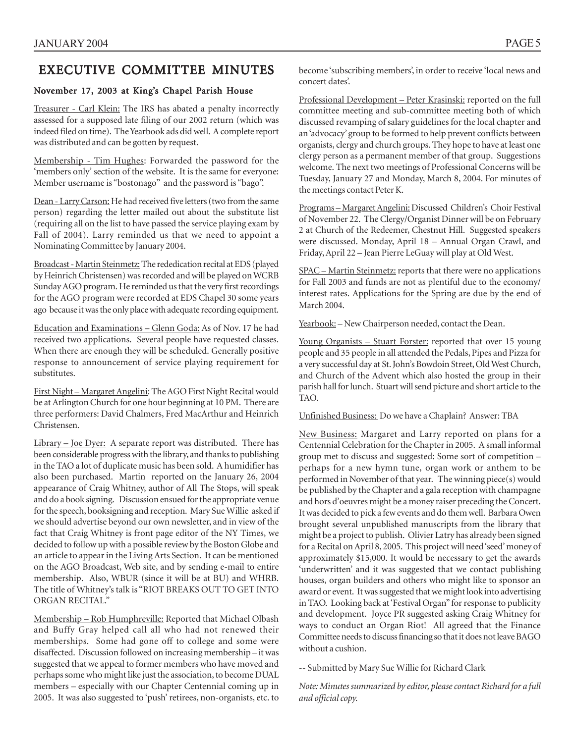# EXECUTIVE COMMITTEE MINUTES

# November 17, 2003 at King's Chapel Parish House

Treasurer - Carl Klein: The IRS has abated a penalty incorrectly assessed for a supposed late filing of our 2002 return (which was indeed filed on time). The Yearbook ads did well. A complete report was distributed and can be gotten by request.

Membership - Tim Hughes: Forwarded the password for the 'members only' section of the website. It is the same for everyone: Member username is "bostonago" and the password is "bago".

Dean - Larry Carson: He had received five letters (two from the same person) regarding the letter mailed out about the substitute list (requiring all on the list to have passed the service playing exam by Fall of 2004). Larry reminded us that we need to appoint a Nominating Committee by January 2004.

Broadcast - Martin Steinmetz: The rededication recital at EDS (played by Heinrich Christensen) was recorded and will be played on WCRB Sunday AGO program. He reminded us that the very first recordings for the AGO program were recorded at EDS Chapel 30 some years ago because it was the only place with adequate recording equipment.

Education and Examinations – Glenn Goda: As of Nov. 17 he had received two applications. Several people have requested classes. When there are enough they will be scheduled. Generally positive response to announcement of service playing requirement for substitutes.

First Night – Margaret Angelini: The AGO First Night Recital would be at Arlington Church for one hour beginning at 10 PM. There are three performers: David Chalmers, Fred MacArthur and Heinrich Christensen.

Library – Joe Dyer: A separate report was distributed. There has been considerable progress with the library, and thanks to publishing in the TAO a lot of duplicate music has been sold. A humidifier has also been purchased. Martin reported on the January 26, 2004 appearance of Craig Whitney, author of All The Stops, will speak and do a book signing. Discussion ensued for the appropriate venue for the speech, booksigning and reception. Mary Sue Willie asked if we should advertise beyond our own newsletter, and in view of the fact that Craig Whitney is front page editor of the NY Times, we decided to follow up with a possible review by the Boston Globe and an article to appear in the Living Arts Section. It can be mentioned on the AGO Broadcast, Web site, and by sending e-mail to entire membership. Also, WBUR (since it will be at BU) and WHRB. The title of Whitney's talk is "RIOT BREAKS OUT TO GET INTO ORGAN RECITAL."

Membership – Rob Humphreville: Reported that Michael Olbash and Buffy Gray helped call all who had not renewed their memberships. Some had gone off to college and some were disaffected. Discussion followed on increasing membership – it was suggested that we appeal to former members who have moved and perhaps some who might like just the association, to become DUAL members – especially with our Chapter Centennial coming up in 2005. It was also suggested to 'push' retirees, non-organists, etc. to become 'subscribing members', in order to receive 'local news and concert dates'.

Professional Development - Peter Krasinski: reported on the full committee meeting and sub-committee meeting both of which discussed revamping of salary guidelines for the local chapter and an 'advocacy' group to be formed to help prevent conflicts between organists, clergy and church groups. They hope to have at least one clergy person as a permanent member of that group. Suggestions welcome. The next two meetings of Professional Concerns will be Tuesday, January 27 and Monday, March 8, 2004. For minutes of the meetings contact Peter K.

Programs – Margaret Angelini: Discussed Children's Choir Festival of November 22. The Clergy/Organist Dinner will be on February 2 at Church of the Redeemer, Chestnut Hill. Suggested speakers were discussed. Monday, April 18 – Annual Organ Crawl, and Friday, April 22 – Jean Pierre LeGuay will play at Old West.

SPAC – Martin Steinmetz: reports that there were no applications for Fall 2003 and funds are not as plentiful due to the economy/ interest rates. Applications for the Spring are due by the end of March 2004.

Yearbook: - New Chairperson needed, contact the Dean.

Young Organists – Stuart Forster: reported that over 15 young people and 35 people in all attended the Pedals, Pipes and Pizza for a very successful day at St. John's Bowdoin Street, Old West Church, and Church of the Advent which also hosted the group in their parish hall for lunch. Stuart will send picture and short article to the TAO.

Unfinished Business: Do we have a Chaplain? Answer: TBA

New Business: Margaret and Larry reported on plans for a Centennial Celebration for the Chapter in 2005. A small informal group met to discuss and suggested: Some sort of competition – perhaps for a new hymn tune, organ work or anthem to be performed in November of that year. The winning piece(s) would be published by the Chapter and a gala reception with champagne and hors d'oeuvres might be a money raiser preceding the Concert. It was decided to pick a few events and do them well. Barbara Owen brought several unpublished manuscripts from the library that might be a project to publish. Olivier Latry has already been signed for a Recital on April 8, 2005. This project will need 'seed' money of approximately \$15,000. It would be necessary to get the awards 'underwritten' and it was suggested that we contact publishing houses, organ builders and others who might like to sponsor an award or event. It was suggested that we might look into advertising in TAO. Looking back at 'Festival Organ" for response to publicity and development. Joyce PR suggested asking Craig Whitney for ways to conduct an Organ Riot! All agreed that the Finance Committee needs to discuss financing so that it does not leave BAGO without a cushion.

-- Submitted by Mary Sue Willie for Richard Clark

*Note: Minutes summarized by editor, please contact Richard for a full and official copy.*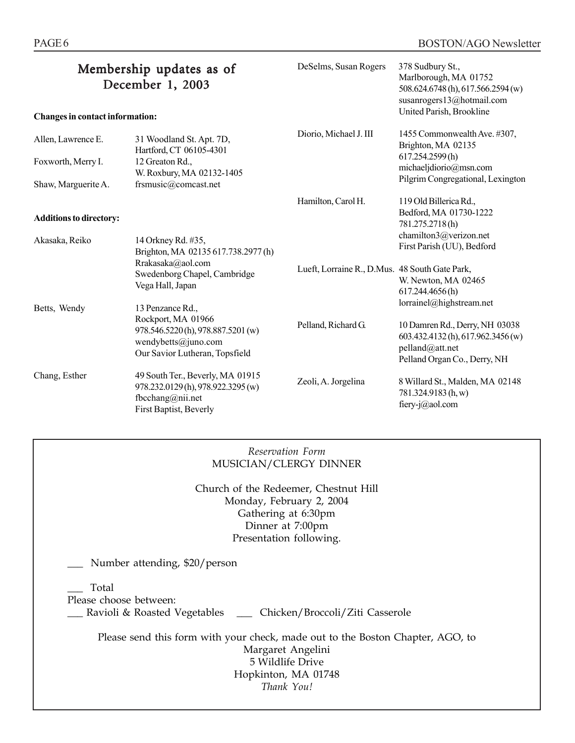|                                 | Membership updates as of<br>December 1, 2003                                                                         | DeSelms, Susan Rogers                          | 378 Sudbury St.,<br>Marlborough, MA 01752<br>508.624.6748(h), 617.566.2594(w)<br>susanrogers13@hotmail.com              |  |
|---------------------------------|----------------------------------------------------------------------------------------------------------------------|------------------------------------------------|-------------------------------------------------------------------------------------------------------------------------|--|
| Changes in contact information: |                                                                                                                      |                                                | United Parish, Brookline                                                                                                |  |
| Allen, Lawrence E.              | 31 Woodland St. Apt. 7D,<br>Hartford, CT 06105-4301                                                                  | Diorio, Michael J. III                         | 1455 Commonwealth Ave. #307,<br>Brighton, MA 02135                                                                      |  |
| Foxworth, Merry I.              | 12 Greaton Rd.,<br>W. Roxbury, MA 02132-1405                                                                         |                                                | 617.254.2599(h)<br>michaeljdiorio@msn.com<br>Pilgrim Congregational, Lexington                                          |  |
| Shaw, Marguerite A.             | frsmusic@comcast.net                                                                                                 |                                                |                                                                                                                         |  |
| <b>Additions to directory:</b>  |                                                                                                                      | Hamilton, Carol H.                             | 119 Old Billerica Rd.,<br>Bedford, MA 01730-1222<br>781.275.2718(h)                                                     |  |
| Akasaka, Reiko                  | 14 Orkney Rd. #35,<br>Brighton, MA 02135 617.738.2977 (h)                                                            |                                                | chamilton3@verizon.net<br>First Parish (UU), Bedford                                                                    |  |
|                                 | Rrakasaka@aol.com<br>Swedenborg Chapel, Cambridge<br>Vega Hall, Japan                                                | Lueft, Lorraine R., D.Mus. 48 South Gate Park, | W. Newton, MA 02465<br>617.244.4656(h)                                                                                  |  |
| Betts, Wendy                    | 13 Penzance Rd.,                                                                                                     |                                                | lorrainel@highstream.net                                                                                                |  |
|                                 | Rockport, MA 01966<br>978.546.5220 (h), 978.887.5201 (w)<br>wendybetts@juno.com<br>Our Savior Lutheran, Topsfield    | Pelland, Richard G.                            | 10 Damren Rd., Derry, NH 03038<br>603.432.4132 (h), 617.962.3456 (w)<br>pelland@att.net<br>Pelland Organ Co., Derry, NH |  |
| Chang, Esther                   | 49 South Ter., Beverly, MA 01915<br>978.232.0129 (h), 978.922.3295 (w)<br>fbcchang@nii.net<br>First Baptist, Beverly | Zeoli, A. Jorgelina                            | 8 Willard St., Malden, MA 02148<br>781.324.9183 (h, w)<br>fiery-j@aol.com                                               |  |
|                                 |                                                                                                                      |                                                |                                                                                                                         |  |

# *Reservation Form* MUSICIAN/CLERGY DINNER

Church of the Redeemer, Chestnut Hill Monday, February 2, 2004 Gathering at 6:30pm Dinner at 7:00pm Presentation following.

Number attending, \$20/person

\_\_\_ Total

Please choose between:

\_\_\_ Ravioli & Roasted Vegetables \_\_\_ Chicken/Broccoli/Ziti Casserole

Please send this form with your check, made out to the Boston Chapter, AGO, to Margaret Angelini 5 Wildlife Drive Hopkinton, MA 01748 *Thank You!*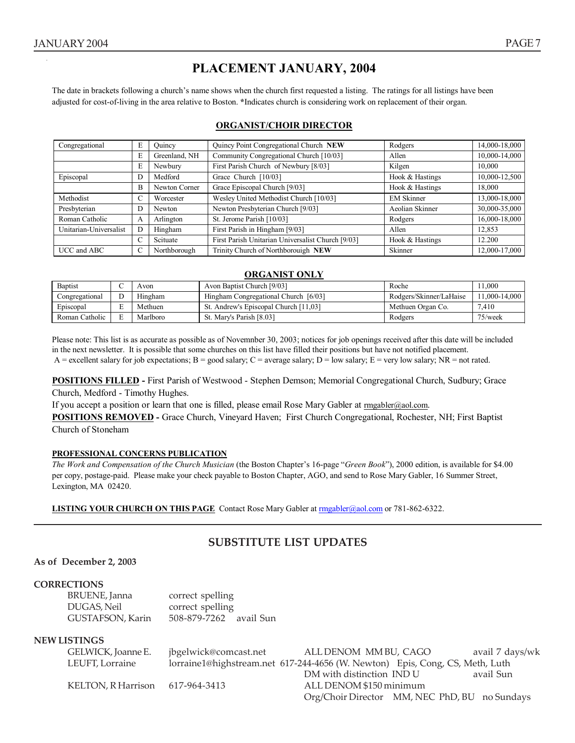The date in brackets following a church's name shows when the church first requested a listing. The ratings for all listings have been adjusted for cost-of-living in the area relative to Boston. **\***Indicates church is considering work on replacement of their organ.

## **ORGANIST/CHOIR DIRECTOR**

| Congregational         | E  | Quincy Point Congregational Church NEW<br>Ouincy |                                                   | Rodgers           | 14,000-18,000 |
|------------------------|----|--------------------------------------------------|---------------------------------------------------|-------------------|---------------|
|                        | E  | Greenland, NH                                    | Community Congregational Church [10/03]           | Allen             | 10,000-14,000 |
|                        | E  | Newbury                                          | First Parish Church of Newbury [8/03]             | Kilgen            | 10.000        |
| Episcopal              | D  | Medford                                          | Grace Church [10/03]                              | Hook & Hastings   | 10,000-12,500 |
|                        | B  | Newton Corner                                    | Grace Episcopal Church [9/03]                     | Hook & Hastings   | 18.000        |
| Methodist              | τ. | Worcester                                        | Wesley United Methodist Church [10/03]            | <b>EM Skinner</b> | 13,000-18,000 |
| Presbyterian           |    | Newton                                           | Newton Presbyterian Church [9/03]                 | Aeolian Skinner   | 30,000-35,000 |
| Roman Catholic         | A  | Arlington                                        | St. Jerome Parish [10/03]                         | Rodgers           | 16,000-18,000 |
| Unitarian-Universalist |    | Hingham                                          | First Parish in Hingham [9/03]                    | Allen             | 12,853        |
|                        |    | Scituate                                         | First Parish Unitarian Universalist Church [9/03] | Hook & Hastings   | 12.200        |
| UCC and ABC            | C  | Northborough                                     | Trinity Church of Northborouigh NEW               | Skinner           | 12,000-17,000 |

## **ORGANIST ONLY**

| Baptist        | Avon     | Avon Baptist Church [9/03]            | Roche                   | .000         |
|----------------|----------|---------------------------------------|-------------------------|--------------|
| Congregational | Hingham  | Hingham Congregational Church [6/03]  | Rodgers/Skinner/LaHaise | 1.000-14.000 |
| Episcopal      | Methuen  | St. Andrew's Episcopal Church [11,03] | Methuen Organ Co.       | 7.410        |
| Roman Catholic | Marlboro | St. Mary's Parish [8.03]              | Rodgers                 | 75/week      |

Please note: This list is as accurate as possible as of Novemnber 30, 2003; notices for job openings received after this date will be included in the next newsletter. It is possible that some churches on this list have filled their positions but have not notified placement. A = excellent salary for job expectations; B = good salary; C = average salary; D = low salary; E = very low salary; NR = not rated.

**POSITIONS FILLED** - First Parish of Westwood - Stephen Demson; Memorial Congregational Church, Sudbury; Grace Church, Medford - Timothy Hughes.

If you accept a position or learn that one is filled, please email Rose Mary Gabler at  $\frac{m}{2}$  rmgabler@aol.com.

**POSITIONS REMOVED -** Grace Church, Vineyard Haven; First Church Congregational, Rochester, NH; First Baptist Church of Stoneham

## **PROFESSIONAL CONCERNS PUBLICATION**

*The Work and Compensation of the Church Musician* (the Boston Chapter's 16-page "*Green Book*"), 2000 edition, is available for \$4.00 per copy, postage-paid. Please make your check payable to Boston Chapter, AGO, and send to Rose Mary Gabler, 16 Summer Street, Lexington, MA 02420.

**LISTING YOUR CHURCH ON THIS PAGE** Contact Rose Mary Gabler at **mgabler@aol.com** or 781-862-6322.

# **SUBSTITUTE LIST UPDATES**

## **As of December 2, 2003**

## **CORRECTIONS**

| BRUENE, Janna    | correct spelling       |  |
|------------------|------------------------|--|
| DUGAS, Neil      | correct spelling       |  |
| GUSTAFSON, Karin | 508-879-7262 avail Sun |  |

## **NEW LISTINGS**

| GELWICK, Joanne E.                | jbgelwick@comcast.net                                                        | ALL DENOM MM BU, CAGO                         | avail 7 days/wk |
|-----------------------------------|------------------------------------------------------------------------------|-----------------------------------------------|-----------------|
| LEUFT, Lorraine                   | lorraine1@highstream.net 617-244-4656 (W. Newton) Epis, Cong, CS, Meth, Luth |                                               |                 |
|                                   |                                                                              | DM with distinction IND U                     | avail Sun       |
| KELTON, R Harrison $617-964-3413$ |                                                                              | ALL DENOM \$150 minimum                       |                 |
|                                   |                                                                              | Org/Choir Director MM, NEC PhD, BU no Sundays |                 |